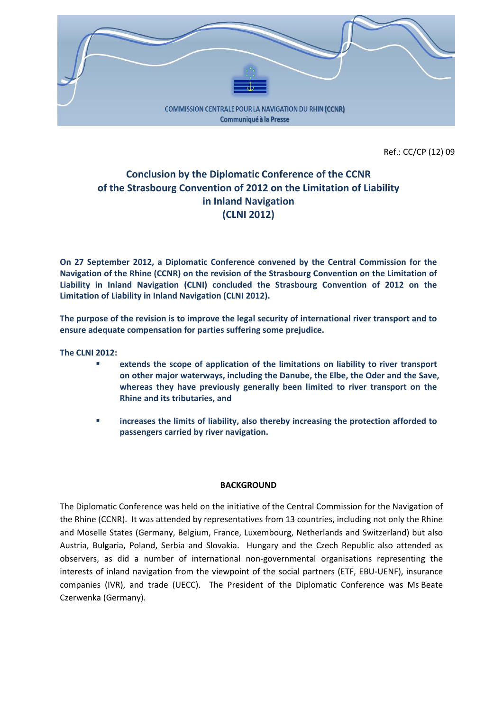

Ref.: CC/CP (12) 09

# **Conclusion by the Diplomatic Conference of the CCNR of the Strasbourg Convention of 2012 on the Limitation of Liability in Inland Navigation (CLNI 2012)**

**On 27 September 2012, a Diplomatic Conference convened by the Central Commission for the Navigation of the Rhine (CCNR) on the revision of the Strasbourg Convention on the Limitation of Liability in Inland Navigation (CLNI) concluded the Strasbourg Convention of 2012 on the Limitation of Liability in Inland Navigation (CLNI 2012).**

**The purpose of the revision is to improve the legal security of international river transport and to ensure adequate compensation for parties suffering some prejudice.**

**The CLNI 2012:**

- **extends the scope of application of the limitations on liability to river transport on other major waterways, including the Danube, the Elbe, the Oder and the Save, whereas they have previously generally been limited to river transport on the Rhine and its tributaries, and**
- **increases the limits of liability, also thereby increasing the protection afforded to passengers carried by river navigation.**

#### **BACKGROUND**

The Diplomatic Conference was held on the initiative of the Central Commission for the Navigation of the Rhine (CCNR). It was attended by representatives from 13 countries, including not only the Rhine and Moselle States (Germany, Belgium, France, Luxembourg, Netherlands and Switzerland) but also Austria, Bulgaria, Poland, Serbia and Slovakia. Hungary and the Czech Republic also attended as observers, as did a number of international non‐governmental organisations representing the interests of inland navigation from the viewpoint of the social partners (ETF, EBU‐UENF), insurance companies (IVR), and trade (UECC). The President of the Diplomatic Conference was Ms Beate Czerwenka (Germany).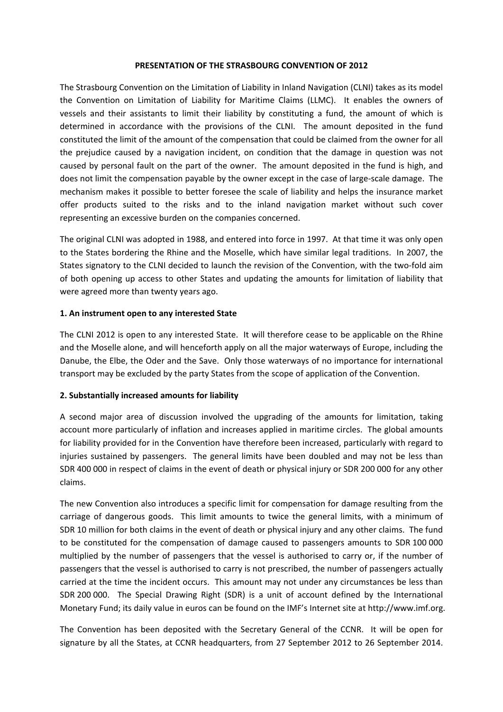#### **PRESENTATION OF THE STRASBOURG CONVENTION OF 2012**

The Strasbourg Convention on the Limitation of Liability in Inland Navigation (CLNI) takes as its model the Convention on Limitation of Liability for Maritime Claims (LLMC). It enables the owners of vessels and their assistants to limit their liability by constituting a fund, the amount of which is determined in accordance with the provisions of the CLNI. The amount deposited in the fund constituted the limit of the amount of the compensation that could be claimed from the owner for all the prejudice caused by a navigation incident, on condition that the damage in question was not caused by personal fault on the part of the owner. The amount deposited in the fund is high, and does not limit the compensation payable by the owner except in the case of large-scale damage. The mechanism makes it possible to better foresee the scale of liability and helps the insurance market offer products suited to the risks and to the inland navigation market without such cover representing an excessive burden on the companies concerned.

The original CLNI was adopted in 1988, and entered into force in 1997. At that time it was only open to the States bordering the Rhine and the Moselle, which have similar legal traditions. In 2007, the States signatory to the CLNI decided to launch the revision of the Convention, with the two-fold aim of both opening up access to other States and updating the amounts for limitation of liability that were agreed more than twenty years ago.

### **1. An instrument open to any interested State**

The CLNI 2012 is open to any interested State. It will therefore cease to be applicable on the Rhine and the Moselle alone, and will henceforth apply on all the major waterways of Europe, including the Danube, the Elbe, the Oder and the Save. Only those waterways of no importance for international transport may be excluded by the party States from the scope of application of the Convention.

### **2. Substantially increased amounts for liability**

A second major area of discussion involved the upgrading of the amounts for limitation, taking account more particularly of inflation and increases applied in maritime circles. The global amounts for liability provided for in the Convention have therefore been increased, particularly with regard to injuries sustained by passengers. The general limits have been doubled and may not be less than SDR 400 000 in respect of claims in the event of death or physical injury or SDR 200 000 for any other claims.

The new Convention also introduces a specific limit for compensation for damage resulting from the carriage of dangerous goods. This limit amounts to twice the general limits, with a minimum of SDR 10 million for both claims in the event of death or physical injury and any other claims. The fund to be constituted for the compensation of damage caused to passengers amounts to SDR 100 000 multiplied by the number of passengers that the vessel is authorised to carry or, if the number of passengers that the vessel is authorised to carry is not prescribed, the number of passengers actually carried at the time the incident occurs. This amount may not under any circumstances be less than SDR 200 000. The Special Drawing Right (SDR) is a unit of account defined by the International Monetary Fund; its daily value in euros can be found on the IMF's Internet site at http://www.imf.org.

The Convention has been deposited with the Secretary General of the CCNR. It will be open for signature by all the States, at CCNR headquarters, from 27 September 2012 to 26 September 2014.